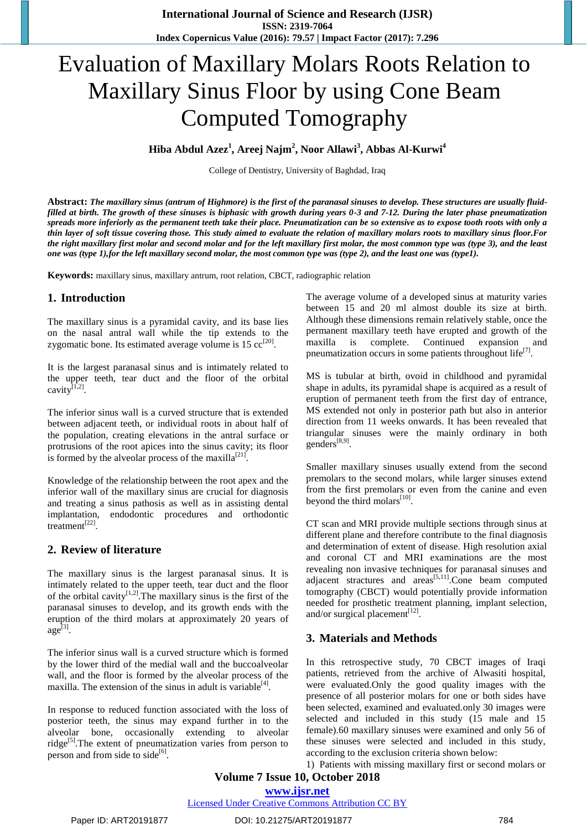# Evaluation of Maxillary Molars Roots Relation to Maxillary Sinus Floor by using Cone Beam Computed Tomography

**Hiba Abdul Azez<sup>1</sup> , Areej Najm<sup>2</sup> , Noor Allawi<sup>3</sup> , Abbas Al-Kurwi<sup>4</sup>**

College of Dentistry, University of Baghdad, Iraq

**Abstract:** *The maxillary sinus (antrum of Highmore) is the first of the paranasal sinuses to develop. These structures are usually fluidfilled at birth. The growth of these sinuses is biphasic with growth during years 0-3 and 7-12. During the later phase pneumatization spreads more inferiorly as the permanent teeth take their place. Pneumatization can be so extensive as to expose tooth roots with only a thin layer of soft tissue covering those. This study aimed to evaluate the relation of maxillary molars roots to maxillary sinus floor.For the right maxillary first molar and second molar and for the left maxillary first molar, the most common type was (type 3), and the least one was (type 1),for the left maxillary second molar, the most common type was (type 2), and the least one was (type1).*

**Keywords:** maxillary sinus, maxillary antrum, root relation, CBCT, radiographic relation

## **1. Introduction**

The maxillary sinus is a pyramidal cavity, and its base lies on the nasal antral wall while the tip extends to the zygomatic bone. Its estimated average volume is  $15 \text{ cc}^{[20]}$ .

It is the largest paranasal sinus and is intimately related to the upper teeth, tear duct and the floor of the orbital cavity $^{[1,2]}$ .

The inferior sinus wall is a curved structure that is extended between adjacent teeth, or individual roots in about half of the population, creating elevations in the antral surface or protrusions of the root apices into the sinus cavity; its floor is formed by the alveolar process of the maxilla<sup>[21]</sup>.

Knowledge of the relationship between the root apex and the inferior wall of the maxillary sinus are crucial for diagnosis and treating a sinus pathosis as well as in assisting dental implantation, endodontic procedures and orthodontic treatment<sup>[22]</sup>.

## **2. Review of literature**

The maxillary sinus is the largest paranasal sinus. It is intimately related to the upper teeth, tear duct and the floor of the orbital cavity<sup>[1,2]</sup>. The maxillary sinus is the first of the paranasal sinuses to develop, and its growth ends with the eruption of the third molars at approximately 20 years of  $\text{age}^{\left[3\right]}$ .

The inferior sinus wall is a curved structure which is formed by the lower third of the medial wall and the buccoalveolar wall, and the floor is formed by the alveolar process of the maxilla. The extension of the sinus in adult is variable<sup>[4]</sup>.

In response to reduced function associated with the loss of posterior teeth, the sinus may expand further in to the alveolar bone, occasionally extending to alveolar ridge<sup>[5]</sup>. The extent of pneumatization varies from person to person and from side to side<sup>[6]</sup>.

The average volume of a developed sinus at maturity varies between 15 and 20 ml almost double its size at birth. Although these dimensions remain relatively stable, once the permanent maxillary teeth have erupted and growth of the maxilla is complete. Continued expansion and pneumatization occurs in some patients throughout  $life^{[7]}$ .

MS is tubular at birth, ovoid in childhood and pyramidal shape in adults, its pyramidal shape is acquired as a result of eruption of permanent teeth from the first day of entrance, MS extended not only in posterior path but also in anterior direction from 11 weeks onwards. It has been revealed that triangular sinuses were the mainly ordinary in both genders<sup>[8,9]</sup>.

Smaller maxillary sinuses usually extend from the second premolars to the second molars, while larger sinuses extend from the first premolars or even from the canine and even beyond the third molars $^{[10]}$ .

CT scan and MRI provide multiple sections through sinus at different plane and therefore contribute to the final diagnosis and determination of extent of disease. High resolution axial and coronal CT and MRI examinations are the most revealing non invasive techniques for paranasal sinuses and adjacent stractures and areas<sup>[5,11]</sup>.Cone beam computed tomography (CBCT) would potentially provide information needed for prosthetic treatment planning, implant selection, and/or surgical placement $^{[12]}$ .

## **3. Materials and Methods**

In this retrospective study, 70 CBCT images of Iraqi patients, retrieved from the archive of Alwasiti hospital, were evaluated.Only the good quality images with the presence of all posterior molars for one or both sides have been selected, examined and evaluated.only 30 images were selected and included in this study (15 male and 15 female).60 maxillary sinuses were examined and only 56 of these sinuses were selected and included in this study, according to the exclusion criteria shown below:

1) Patients with missing maxillary first or second molars or

## **Volume 7 Issue 10, October 2018**

**www.ijsr.net**

Licensed Under Creative Commons Attribution CC BY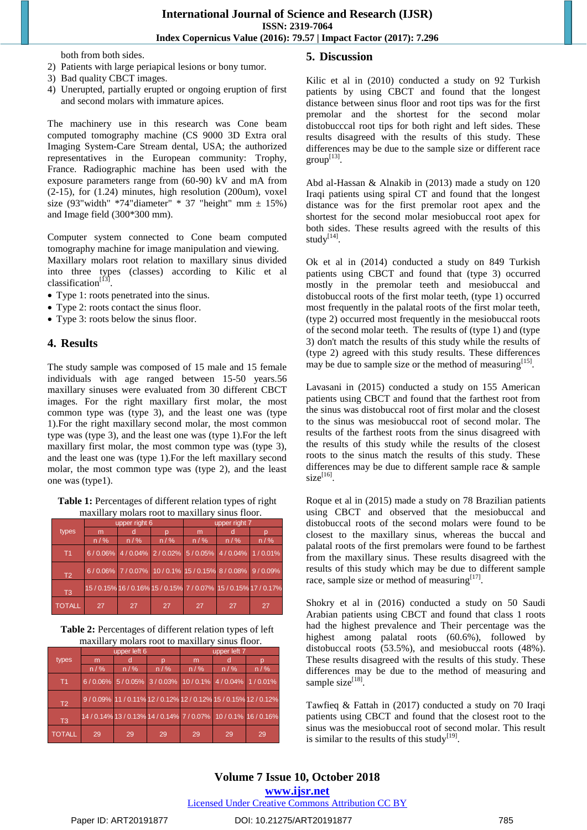both from both sides.

- 2) Patients with large periapical lesions or bony tumor.
- 3) Bad quality CBCT images.
- 4) Unerupted, partially erupted or ongoing eruption of first and second molars with immature apices.

The machinery use in this research was Cone beam computed tomography machine (CS 9000 3D Extra oral Imaging System-Care Stream dental, USA; the authorized representatives in the European community: Trophy, France. Radiographic machine has been used with the exposure parameters range from (60-90) kV and mA from (2-15), for (1.24) minutes, high resolution (200um), voxel size (93"width" \*74"diameter" \* 37 "height" mm  $\pm$  15%) and Image field (300\*300 mm).

Computer system connected to Cone beam computed tomography machine for image manipulation and viewing.

Maxillary molars root relation to maxillary sinus divided into three types (classes) according to Kilic et al classification<sup>[13]</sup>.

- Type 1: roots penetrated into the sinus.
- Type 2: roots contact the sinus floor.
- Type 3: roots below the sinus floor.

#### **4. Results**

The study sample was composed of 15 male and 15 female individuals with age ranged between 15-50 years.56 maxillary sinuses were evaluated from 30 different CBCT images. For the right maxillary first molar, the most common type was (type 3), and the least one was (type 1).For the right maxillary second molar, the most common type was (type 3), and the least one was (type 1).For the left maxillary first molar, the most common type was (type 3), and the least one was (type 1).For the left maxillary second molar, the most common type was (type 2), and the least one was (type1).

**Table 1:** Percentages of different relation types of right maxillary molars root to maxillary sinus floor.

|                | upper right 6 |     |       | upper right 7 |                                                  |                                                                  |  |
|----------------|---------------|-----|-------|---------------|--------------------------------------------------|------------------------------------------------------------------|--|
| types          | m             |     |       | m             |                                                  |                                                                  |  |
|                | n / %         | n/% | n / % | n / %         | n / %                                            | n / %                                                            |  |
| T <sub>1</sub> |               |     |       |               | 6/0.06% 4/0.04% 2/0.02% 5/0.05% 4/0.04% 1/0.01%  |                                                                  |  |
| T <sub>2</sub> |               |     |       |               | 6/0.06% 7/0.07% 10/0.1% 15/0.15% 8/0.08% 9/0.09% |                                                                  |  |
| T <sub>3</sub> |               |     |       |               |                                                  | 15 / 0.15% 16 / 0.16% 15 / 0.15% 7 / 0.07% 15 / 0.15% 17 / 0.17% |  |
| <b>TOTALL</b>  | 27            | 27  | 27    | 27            | 27                                               | 27                                                               |  |

**Table 2:** Percentages of different relation types of left maxillary molars root to maxillary sinus floor.

|                | upper left 6 |       |       | upper left 7 |                                                 |                                                                 |  |
|----------------|--------------|-------|-------|--------------|-------------------------------------------------|-----------------------------------------------------------------|--|
| types          | m            | n     |       | m            |                                                 |                                                                 |  |
|                | n / %        | n / % | n / % | n / %        | $n/$ %                                          | $n/$ %                                                          |  |
| T1             |              |       |       |              | 6/0.06% 5/0.05% 3/0.03% 10/0.1% 4/0.04% 1/0.01% |                                                                 |  |
| T <sub>2</sub> |              |       |       |              |                                                 | 9/0.09% 11/0.11% 12/0.12% 12/0.12% 15/0.15% 12/0.12%            |  |
| T <sub>3</sub> |              |       |       |              |                                                 | 14 / 0.14% 13 / 0.13% 14 / 0.14% 7 / 0.07% 10 / 0.1% 16 / 0.16% |  |
| <b>TOTALL</b>  | 29           | 29    | 29    | 29           | 29                                              | 29                                                              |  |

#### **5. Discussion**

Kilic et al in (2010) conducted a study on 92 Turkish patients by using CBCT and found that the longest distance between sinus floor and root tips was for the first premolar and the shortest for the second molar distobucccal root tips for both right and left sides. These results disagreed with the results of this study. These differences may be due to the sample size or different race  $group^{[13]}$ .

Abd al-Hassan & Alnakib in (2013) made a study on 120 Iraqi patients using spiral CT and found that the longest distance was for the first premolar root apex and the shortest for the second molar mesiobuccal root apex for both sides. These results agreed with the results of this study[14].

Ok et al in (2014) conducted a study on 849 Turkish patients using CBCT and found that (type 3) occurred mostly in the premolar teeth and mesiobuccal and distobuccal roots of the first molar teeth, (type 1) occurred most frequently in the palatal roots of the first molar teeth, (type 2) occurred most frequently in the mesiobuccal roots of the second molar teeth. The results of (type 1) and (type 3) don't match the results of this study while the results of (type 2) agreed with this study results. These differences may be due to sample size or the method of measuring $^{[15]}$ .

Lavasani in (2015) conducted a study on 155 American patients using CBCT and found that the farthest root from the sinus was distobuccal root of first molar and the closest to the sinus was mesiobuccal root of second molar. The results of the farthest roots from the sinus disagreed with the results of this study while the results of the closest roots to the sinus match the results of this study. These differences may be due to different sample race & sample  $size^{[16]}$ .

Roque et al in (2015) made a study on 78 Brazilian patients using CBCT and observed that the mesiobuccal and distobuccal roots of the second molars were found to be closest to the maxillary sinus, whereas the buccal and palatal roots of the first premolars were found to be farthest from the maxillary sinus. These results disagreed with the results of this study which may be due to different sample race, sample size or method of measuring $^{[17]}$ .

Shokry et al in (2016) conducted a study on 50 Saudi Arabian patients using CBCT and found that class 1 roots had the highest prevalence and Their percentage was the highest among palatal roots (60.6%), followed by distobuccal roots (53.5%), and mesiobuccal roots (48%). These results disagreed with the results of this study. These differences may be due to the method of measuring and sample size<sup>[18]</sup>.

Tawfieq & Fattah in (2017) conducted a study on 70 Iraqi patients using CBCT and found that the closest root to the sinus was the mesiobuccal root of second molar. This result is similar to the results of this study<sup>[19]</sup>.

## **Volume 7 Issue 10, October 2018**

**www.ijsr.net**

Licensed Under Creative Commons Attribution CC BY